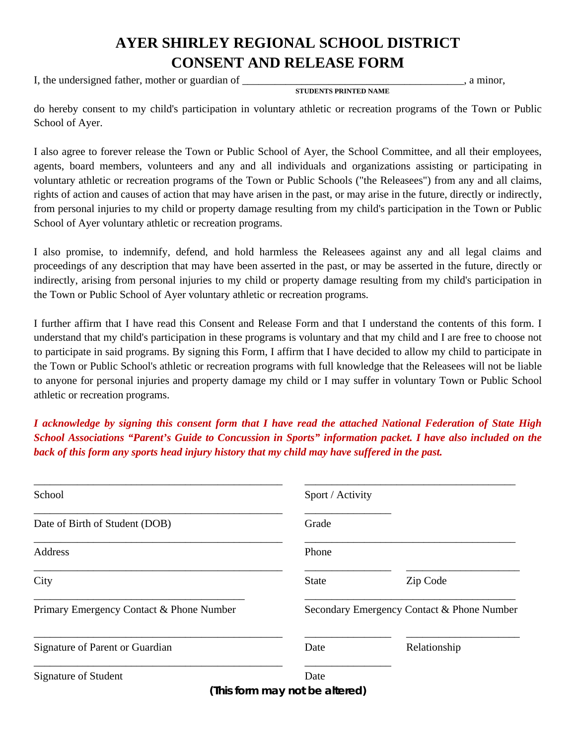## **AYER SHIRLEY REGIONAL SCHOOL DISTRICT CONSENT AND RELEASE FORM**

I, the undersigned father, mother or guardian of \_\_\_\_\_\_\_\_\_\_\_\_\_\_\_\_\_\_\_\_\_\_\_\_\_\_\_\_\_\_\_\_, a minor,

 **STUDENTS PRINTED NAME** 

do hereby consent to my child's participation in voluntary athletic or recreation programs of the Town or Public School of Ayer.

I also agree to forever release the Town or Public School of Ayer, the School Committee, and all their employees, agents, board members, volunteers and any and all individuals and organizations assisting or participating in voluntary athletic or recreation programs of the Town or Public Schools ("the Releasees") from any and all claims, rights of action and causes of action that may have arisen in the past, or may arise in the future, directly or indirectly, from personal injuries to my child or property damage resulting from my child's participation in the Town or Public School of Ayer voluntary athletic or recreation programs.

I also promise, to indemnify, defend, and hold harmless the Releasees against any and all legal claims and proceedings of any description that may have been asserted in the past, or may be asserted in the future, directly or indirectly, arising from personal injuries to my child or property damage resulting from my child's participation in the Town or Public School of Ayer voluntary athletic or recreation programs.

I further affirm that I have read this Consent and Release Form and that I understand the contents of this form. I understand that my child's participation in these programs is voluntary and that my child and I are free to choose not to participate in said programs. By signing this Form, I affirm that I have decided to allow my child to participate in the Town or Public School's athletic or recreation programs with full knowledge that the Releasees will not be liable to anyone for personal injuries and property damage my child or I may suffer in voluntary Town or Public School athletic or recreation programs.

*I acknowledge by signing this consent form that I have read the attached National Federation of State High School Associations "Parent's Guide to Concussion in Sports" information packet. I have also included on the back of this form any sports head injury history that my child may have suffered in the past.* 

| School                                   | Sport / Activity                           |              |  |
|------------------------------------------|--------------------------------------------|--------------|--|
| Date of Birth of Student (DOB)           | Grade                                      |              |  |
| <b>Address</b>                           | Phone                                      |              |  |
| City                                     | <b>State</b>                               | Zip Code     |  |
| Primary Emergency Contact & Phone Number | Secondary Emergency Contact & Phone Number |              |  |
| Signature of Parent or Guardian          | Date                                       | Relationship |  |
| Signature of Student                     | Date                                       |              |  |
|                                          | (This form may not be altered)             |              |  |